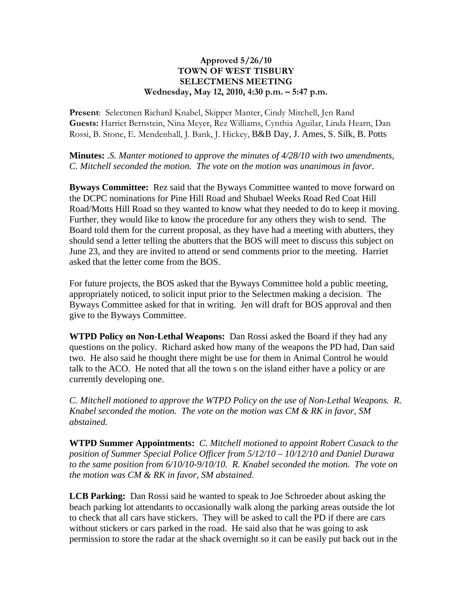## **Approved 5/26/10 TOWN OF WEST TISBURY SELECTMENS MEETING Wednesday, May 12, 2010, 4:30 p.m. – 5:47 p.m.**

**Present**: Selectmen Richard Knabel, Skipper Manter, Cindy Mitchell, Jen Rand **Guests:** Harriet Bernstein, Nina Meyer, Rez Williams, Cynthia Aguilar, Linda Hearn, Dan Rossi, B. Stone, E. Mendenhall, J. Bank, J. Hickey, B&B Day, J. Ames, S. Silk, B. Potts

**Minutes:** *.S. Manter motioned to approve the minutes of 4/28/10 with two amendments, C. Mitchell seconded the motion. The vote on the motion was unanimous in favor.*

**Byways Committee:** Rez said that the Byways Committee wanted to move forward on the DCPC nominations for Pine Hill Road and Shubael Weeks Road Red Coat Hill Road/Motts Hill Road so they wanted to know what they needed to do to keep it moving. Further, they would like to know the procedure for any others they wish to send. The Board told them for the current proposal, as they have had a meeting with abutters, they should send a letter telling the abutters that the BOS will meet to discuss this subject on June 23, and they are invited to attend or send comments prior to the meeting. Harriet asked that the letter come from the BOS.

For future projects, the BOS asked that the Byways Committee hold a public meeting, appropriately noticed, to solicit input prior to the Selectmen making a decision. The Byways Committee asked for that in writing. Jen will draft for BOS approval and then give to the Byways Committee.

**WTPD Policy on Non-Lethal Weapons:** Dan Rossi asked the Board if they had any questions on the policy. Richard asked how many of the weapons the PD had, Dan said two. He also said he thought there might be use for them in Animal Control he would talk to the ACO. He noted that all the town s on the island either have a policy or are currently developing one.

*C. Mitchell motioned to approve the WTPD Policy on the use of Non-Lethal Weapons. R. Knabel seconded the motion. The vote on the motion was CM & RK in favor, SM abstained.*

**WTPD Summer Appointments:** *C. Mitchell motioned to appoint Robert Cusack to the position of Summer Special Police Officer from 5/12/10 – 10/12/10 and Daniel Durawa to the same position from 6/10/10-9/10/10. R. Knabel seconded the motion. The vote on the motion was CM & RK in favor, SM abstained.*

**LCB Parking:** Dan Rossi said he wanted to speak to Joe Schroeder about asking the beach parking lot attendants to occasionally walk along the parking areas outside the lot to check that all cars have stickers. They will be asked to call the PD if there are cars without stickers or cars parked in the road. He said also that he was going to ask permission to store the radar at the shack overnight so it can be easily put back out in the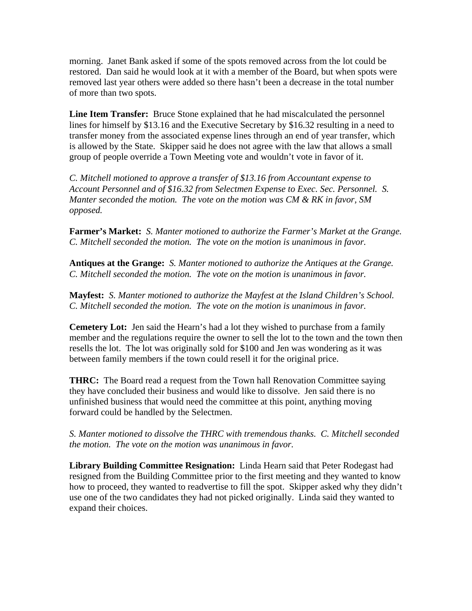morning. Janet Bank asked if some of the spots removed across from the lot could be restored. Dan said he would look at it with a member of the Board, but when spots were removed last year others were added so there hasn't been a decrease in the total number of more than two spots.

**Line Item Transfer:** Bruce Stone explained that he had miscalculated the personnel lines for himself by \$13.16 and the Executive Secretary by \$16.32 resulting in a need to transfer money from the associated expense lines through an end of year transfer, which is allowed by the State. Skipper said he does not agree with the law that allows a small group of people override a Town Meeting vote and wouldn't vote in favor of it.

*C. Mitchell motioned to approve a transfer of \$13.16 from Accountant expense to Account Personnel and of \$16.32 from Selectmen Expense to Exec. Sec. Personnel. S. Manter seconded the motion. The vote on the motion was CM & RK in favor, SM opposed.* 

**Farmer's Market:** *S. Manter motioned to authorize the Farmer's Market at the Grange. C. Mitchell seconded the motion. The vote on the motion is unanimous in favor.*

**Antiques at the Grange:** *S. Manter motioned to authorize the Antiques at the Grange. C. Mitchell seconded the motion. The vote on the motion is unanimous in favor.*

**Mayfest:** *S. Manter motioned to authorize the Mayfest at the Island Children's School. C. Mitchell seconded the motion. The vote on the motion is unanimous in favor.*

**Cemetery Lot:** Jen said the Hearn's had a lot they wished to purchase from a family member and the regulations require the owner to sell the lot to the town and the town then resells the lot. The lot was originally sold for \$100 and Jen was wondering as it was between family members if the town could resell it for the original price.

**THRC:** The Board read a request from the Town hall Renovation Committee saying they have concluded their business and would like to dissolve. Jen said there is no unfinished business that would need the committee at this point, anything moving forward could be handled by the Selectmen.

*S. Manter motioned to dissolve the THRC with tremendous thanks. C. Mitchell seconded the motion. The vote on the motion was unanimous in favor.*

**Library Building Committee Resignation:** Linda Hearn said that Peter Rodegast had resigned from the Building Committee prior to the first meeting and they wanted to know how to proceed, they wanted to readvertise to fill the spot. Skipper asked why they didn't use one of the two candidates they had not picked originally. Linda said they wanted to expand their choices.